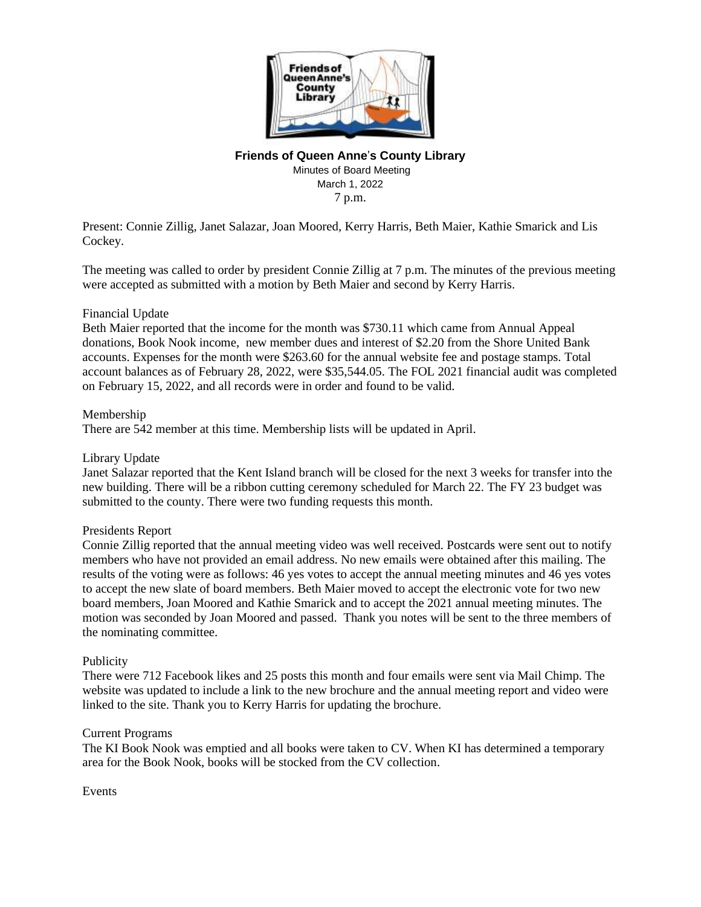

# **Friends of Queen Anne**'**s County Library**

Minutes of Board Meeting March 1, 2022 7 p.m.

Present: Connie Zillig, Janet Salazar, Joan Moored, Kerry Harris, Beth Maier, Kathie Smarick and Lis Cockey.

The meeting was called to order by president Connie Zillig at 7 p.m. The minutes of the previous meeting were accepted as submitted with a motion by Beth Maier and second by Kerry Harris.

## Financial Update

Beth Maier reported that the income for the month was \$730.11 which came from Annual Appeal donations, Book Nook income, new member dues and interest of \$2.20 from the Shore United Bank accounts. Expenses for the month were \$263.60 for the annual website fee and postage stamps. Total account balances as of February 28, 2022, were \$35,544.05. The FOL 2021 financial audit was completed on February 15, 2022, and all records were in order and found to be valid.

#### Membership

There are 542 member at this time. Membership lists will be updated in April.

### Library Update

Janet Salazar reported that the Kent Island branch will be closed for the next 3 weeks for transfer into the new building. There will be a ribbon cutting ceremony scheduled for March 22. The FY 23 budget was submitted to the county. There were two funding requests this month.

#### Presidents Report

Connie Zillig reported that the annual meeting video was well received. Postcards were sent out to notify members who have not provided an email address. No new emails were obtained after this mailing. The results of the voting were as follows: 46 yes votes to accept the annual meeting minutes and 46 yes votes to accept the new slate of board members. Beth Maier moved to accept the electronic vote for two new board members, Joan Moored and Kathie Smarick and to accept the 2021 annual meeting minutes. The motion was seconded by Joan Moored and passed. Thank you notes will be sent to the three members of the nominating committee.

#### Publicity

There were 712 Facebook likes and 25 posts this month and four emails were sent via Mail Chimp. The website was updated to include a link to the new brochure and the annual meeting report and video were linked to the site. Thank you to Kerry Harris for updating the brochure.

#### Current Programs

The KI Book Nook was emptied and all books were taken to CV. When KI has determined a temporary area for the Book Nook, books will be stocked from the CV collection.

#### Events